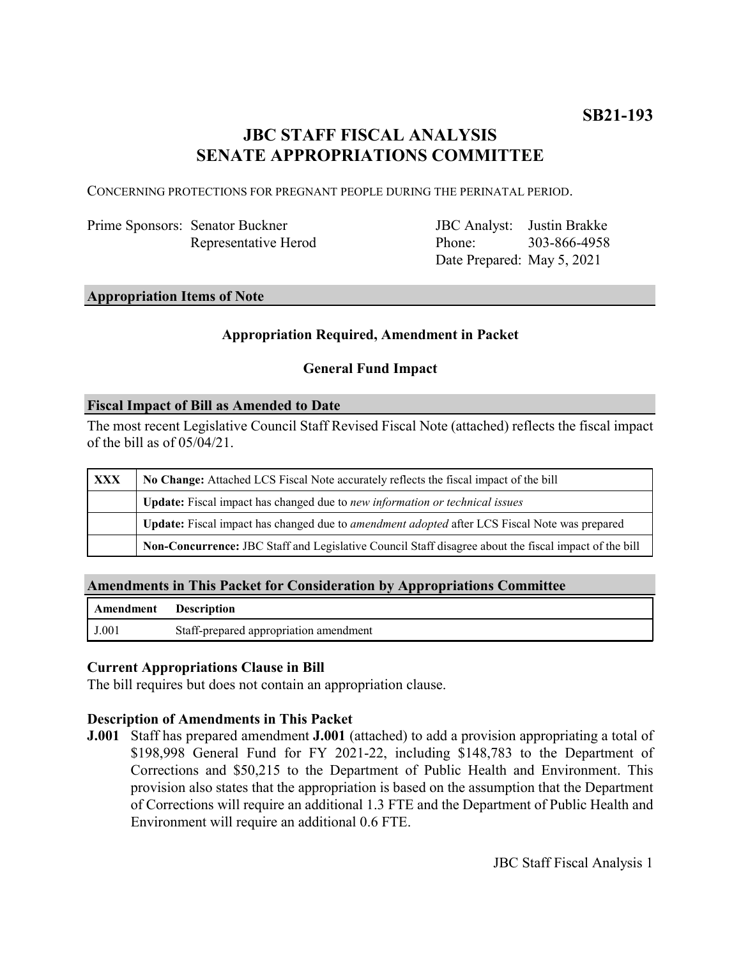# **JBC STAFF FISCAL ANALYSIS SENATE APPROPRIATIONS COMMITTEE**

CONCERNING PROTECTIONS FOR PREGNANT PEOPLE DURING THE PERINATAL PERIOD.

| Prime Sponsors: Senator Buckner |
|---------------------------------|
| Representative Herod            |

JBC Analyst: Justin Brakke Phone: Date Prepared: May 5, 2021 303-866-4958

#### **Appropriation Items of Note**

## **Appropriation Required, Amendment in Packet**

### **General Fund Impact**

#### **Fiscal Impact of Bill as Amended to Date**

The most recent Legislative Council Staff Revised Fiscal Note (attached) reflects the fiscal impact of the bill as of 05/04/21.

| XXX | No Change: Attached LCS Fiscal Note accurately reflects the fiscal impact of the bill                       |  |
|-----|-------------------------------------------------------------------------------------------------------------|--|
|     | Update: Fiscal impact has changed due to new information or technical issues                                |  |
|     | <b>Update:</b> Fiscal impact has changed due to <i>amendment adopted</i> after LCS Fiscal Note was prepared |  |
|     | Non-Concurrence: JBC Staff and Legislative Council Staff disagree about the fiscal impact of the bill       |  |

#### **Amendments in This Packet for Consideration by Appropriations Committee**

| <b>Amendment</b> Description |                                        |
|------------------------------|----------------------------------------|
| J.001                        | Staff-prepared appropriation amendment |

## **Current Appropriations Clause in Bill**

The bill requires but does not contain an appropriation clause.

#### **Description of Amendments in This Packet**

**J.001** Staff has prepared amendment **J.001** (attached) to add a provision appropriating a total of \$198,998 General Fund for FY 2021-22, including \$148,783 to the Department of Corrections and \$50,215 to the Department of Public Health and Environment. This provision also states that the appropriation is based on the assumption that the Department of Corrections will require an additional 1.3 FTE and the Department of Public Health and Environment will require an additional 0.6 FTE.